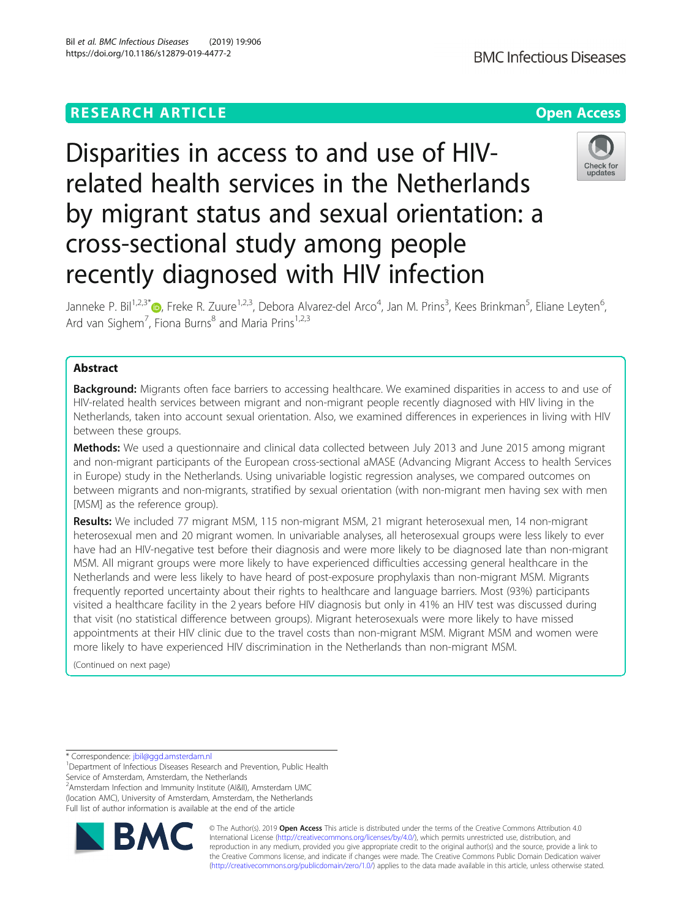# Disparities in access to and use of HIVrelated health services in the Netherlands by migrant status and sexual orientation: a cross-sectional study among people recently diagnosed with HIV infection



Janneke P. Bil<sup>1,2,3[\\*](http://orcid.org/0000-0002-4305-7512)</sup>®, Freke R. Zuure<sup>1,2,3</sup>, Debora Alvarez-del Arco<sup>4</sup>, Jan M. Prins<sup>3</sup>, Kees Brinkman<sup>5</sup>, Eliane Leyten<sup>6</sup> י<br>, Ard van Sighem<sup>7</sup>, Fiona Burns<sup>8</sup> and Maria Prins<sup>1,2,3</sup>

# Abstract

Background: Migrants often face barriers to accessing healthcare. We examined disparities in access to and use of HIV-related health services between migrant and non-migrant people recently diagnosed with HIV living in the Netherlands, taken into account sexual orientation. Also, we examined differences in experiences in living with HIV between these groups.

Methods: We used a questionnaire and clinical data collected between July 2013 and June 2015 among migrant and non-migrant participants of the European cross-sectional aMASE (Advancing Migrant Access to health Services in Europe) study in the Netherlands. Using univariable logistic regression analyses, we compared outcomes on between migrants and non-migrants, stratified by sexual orientation (with non-migrant men having sex with men [MSM] as the reference group).

Results: We included 77 migrant MSM, 115 non-migrant MSM, 21 migrant heterosexual men, 14 non-migrant heterosexual men and 20 migrant women. In univariable analyses, all heterosexual groups were less likely to ever have had an HIV-negative test before their diagnosis and were more likely to be diagnosed late than non-migrant MSM. All migrant groups were more likely to have experienced difficulties accessing general healthcare in the Netherlands and were less likely to have heard of post-exposure prophylaxis than non-migrant MSM. Migrants frequently reported uncertainty about their rights to healthcare and language barriers. Most (93%) participants visited a healthcare facility in the 2 years before HIV diagnosis but only in 41% an HIV test was discussed during that visit (no statistical difference between groups). Migrant heterosexuals were more likely to have missed appointments at their HIV clinic due to the travel costs than non-migrant MSM. Migrant MSM and women were more likely to have experienced HIV discrimination in the Netherlands than non-migrant MSM.

(Continued on next page)

\* Correspondence: [jbil@ggd.amsterdam.nl](mailto:jbil@ggd.amsterdam.nl) <sup>1</sup>

<sup>1</sup>Department of Infectious Diseases Research and Prevention, Public Health Service of Amsterdam, Amsterdam, the Netherlands

<sup>2</sup> Amsterdam Infection and Immunity Institute (AI&II), Amsterdam UMC (location AMC), University of Amsterdam, Amsterdam, the Netherlands Full list of author information is available at the end of the article



© The Author(s). 2019 **Open Access** This article is distributed under the terms of the Creative Commons Attribution 4.0 International License [\(http://creativecommons.org/licenses/by/4.0/](http://creativecommons.org/licenses/by/4.0/)), which permits unrestricted use, distribution, and reproduction in any medium, provided you give appropriate credit to the original author(s) and the source, provide a link to the Creative Commons license, and indicate if changes were made. The Creative Commons Public Domain Dedication waiver [\(http://creativecommons.org/publicdomain/zero/1.0/](http://creativecommons.org/publicdomain/zero/1.0/)) applies to the data made available in this article, unless otherwise stated.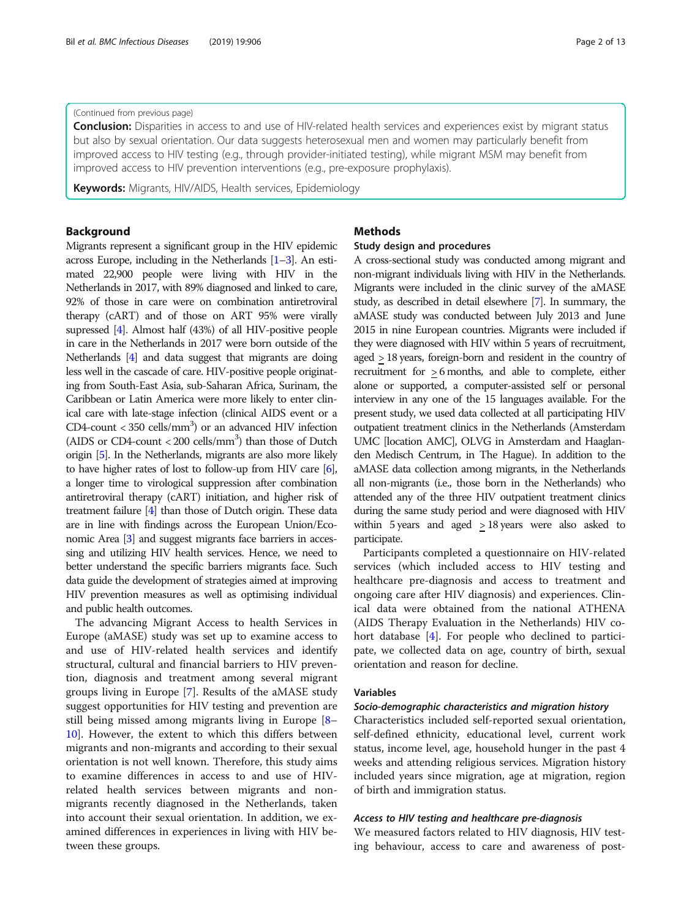# (Continued from previous page)

Conclusion: Disparities in access to and use of HIV-related health services and experiences exist by migrant status but also by sexual orientation. Our data suggests heterosexual men and women may particularly benefit from improved access to HIV testing (e.g., through provider-initiated testing), while migrant MSM may benefit from improved access to HIV prevention interventions (e.g., pre-exposure prophylaxis).

Keywords: Migrants, HIV/AIDS, Health services, Epidemiology

# Background

Migrants represent a significant group in the HIV epidemic across Europe, including in the Netherlands [[1](#page-11-0)–[3\]](#page-11-0). An estimated 22,900 people were living with HIV in the Netherlands in 2017, with 89% diagnosed and linked to care, 92% of those in care were on combination antiretroviral therapy (cART) and of those on ART 95% were virally supressed [[4](#page-11-0)]. Almost half (43%) of all HIV-positive people in care in the Netherlands in 2017 were born outside of the Netherlands [\[4\]](#page-11-0) and data suggest that migrants are doing less well in the cascade of care. HIV-positive people originating from South-East Asia, sub-Saharan Africa, Surinam, the Caribbean or Latin America were more likely to enter clinical care with late-stage infection (clinical AIDS event or a CD4-count <  $350$  cells/mm<sup>3</sup>) or an advanced HIV infection (AIDS or CD4-count  $<$  200 cells/mm<sup>3</sup>) than those of Dutch origin [\[5\]](#page-11-0). In the Netherlands, migrants are also more likely to have higher rates of lost to follow-up from HIV care [\[6](#page-11-0)], a longer time to virological suppression after combination antiretroviral therapy (cART) initiation, and higher risk of treatment failure [[4](#page-11-0)] than those of Dutch origin. These data are in line with findings across the European Union/Economic Area [\[3](#page-11-0)] and suggest migrants face barriers in accessing and utilizing HIV health services. Hence, we need to better understand the specific barriers migrants face. Such data guide the development of strategies aimed at improving HIV prevention measures as well as optimising individual and public health outcomes.

The advancing Migrant Access to health Services in Europe (aMASE) study was set up to examine access to and use of HIV-related health services and identify structural, cultural and financial barriers to HIV prevention, diagnosis and treatment among several migrant groups living in Europe [[7\]](#page-11-0). Results of the aMASE study suggest opportunities for HIV testing and prevention are still being missed among migrants living in Europe [[8](#page-11-0)– [10\]](#page-11-0). However, the extent to which this differs between migrants and non-migrants and according to their sexual orientation is not well known. Therefore, this study aims to examine differences in access to and use of HIVrelated health services between migrants and nonmigrants recently diagnosed in the Netherlands, taken into account their sexual orientation. In addition, we examined differences in experiences in living with HIV between these groups.

# Methods

# Study design and procedures

A cross-sectional study was conducted among migrant and non-migrant individuals living with HIV in the Netherlands. Migrants were included in the clinic survey of the aMASE study, as described in detail elsewhere [\[7\]](#page-11-0). In summary, the aMASE study was conducted between July 2013 and June 2015 in nine European countries. Migrants were included if they were diagnosed with HIV within 5 years of recruitment, aged  $\geq$  18 years, foreign-born and resident in the country of recruitment for > 6 months, and able to complete, either alone or supported, a computer-assisted self or personal interview in any one of the 15 languages available. For the present study, we used data collected at all participating HIV outpatient treatment clinics in the Netherlands (Amsterdam UMC [location AMC], OLVG in Amsterdam and Haaglanden Medisch Centrum, in The Hague). In addition to the aMASE data collection among migrants, in the Netherlands all non-migrants (i.e., those born in the Netherlands) who attended any of the three HIV outpatient treatment clinics during the same study period and were diagnosed with HIV within 5 years and aged  $\geq$  18 years were also asked to participate.

Participants completed a questionnaire on HIV-related services (which included access to HIV testing and healthcare pre-diagnosis and access to treatment and ongoing care after HIV diagnosis) and experiences. Clinical data were obtained from the national ATHENA (AIDS Therapy Evaluation in the Netherlands) HIV cohort database [[4\]](#page-11-0). For people who declined to participate, we collected data on age, country of birth, sexual orientation and reason for decline.

### Variables

# Socio-demographic characteristics and migration history

Characteristics included self-reported sexual orientation, self-defined ethnicity, educational level, current work status, income level, age, household hunger in the past 4 weeks and attending religious services. Migration history included years since migration, age at migration, region of birth and immigration status.

# Access to HIV testing and healthcare pre-diagnosis

We measured factors related to HIV diagnosis, HIV testing behaviour, access to care and awareness of post-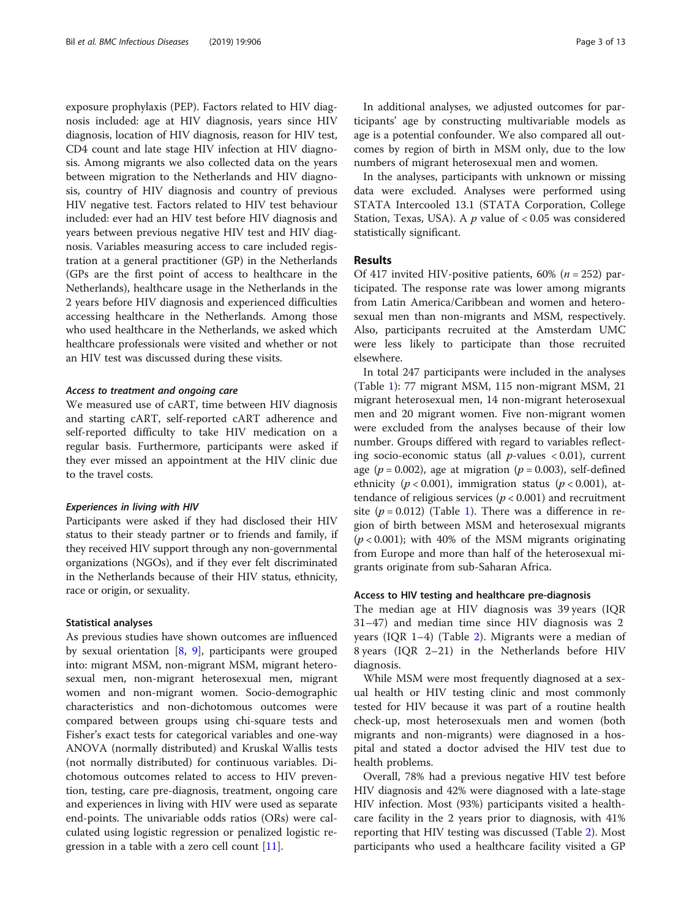exposure prophylaxis (PEP). Factors related to HIV diagnosis included: age at HIV diagnosis, years since HIV diagnosis, location of HIV diagnosis, reason for HIV test, CD4 count and late stage HIV infection at HIV diagnosis. Among migrants we also collected data on the years between migration to the Netherlands and HIV diagnosis, country of HIV diagnosis and country of previous HIV negative test. Factors related to HIV test behaviour included: ever had an HIV test before HIV diagnosis and years between previous negative HIV test and HIV diagnosis. Variables measuring access to care included registration at a general practitioner (GP) in the Netherlands (GPs are the first point of access to healthcare in the Netherlands), healthcare usage in the Netherlands in the 2 years before HIV diagnosis and experienced difficulties accessing healthcare in the Netherlands. Among those who used healthcare in the Netherlands, we asked which healthcare professionals were visited and whether or not an HIV test was discussed during these visits.

# Access to treatment and ongoing care

We measured use of cART, time between HIV diagnosis and starting cART, self-reported cART adherence and self-reported difficulty to take HIV medication on a regular basis. Furthermore, participants were asked if they ever missed an appointment at the HIV clinic due to the travel costs.

### Experiences in living with HIV

Participants were asked if they had disclosed their HIV status to their steady partner or to friends and family, if they received HIV support through any non-governmental organizations (NGOs), and if they ever felt discriminated in the Netherlands because of their HIV status, ethnicity, race or origin, or sexuality.

### Statistical analyses

As previous studies have shown outcomes are influenced by sexual orientation [[8,](#page-11-0) [9](#page-11-0)], participants were grouped into: migrant MSM, non-migrant MSM, migrant heterosexual men, non-migrant heterosexual men, migrant women and non-migrant women. Socio-demographic characteristics and non-dichotomous outcomes were compared between groups using chi-square tests and Fisher's exact tests for categorical variables and one-way ANOVA (normally distributed) and Kruskal Wallis tests (not normally distributed) for continuous variables. Dichotomous outcomes related to access to HIV prevention, testing, care pre-diagnosis, treatment, ongoing care and experiences in living with HIV were used as separate end-points. The univariable odds ratios (ORs) were calculated using logistic regression or penalized logistic regression in a table with a zero cell count [[11\]](#page-11-0).

In additional analyses, we adjusted outcomes for participants' age by constructing multivariable models as age is a potential confounder. We also compared all outcomes by region of birth in MSM only, due to the low numbers of migrant heterosexual men and women.

In the analyses, participants with unknown or missing data were excluded. Analyses were performed using STATA Intercooled 13.1 (STATA Corporation, College Station, Texas, USA). A  $p$  value of < 0.05 was considered statistically significant.

# Results

Of 417 invited HIV-positive patients, 60% ( $n = 252$ ) participated. The response rate was lower among migrants from Latin America/Caribbean and women and heterosexual men than non-migrants and MSM, respectively. Also, participants recruited at the Amsterdam UMC were less likely to participate than those recruited elsewhere.

In total 247 participants were included in the analyses (Table [1](#page-3-0)): 77 migrant MSM, 115 non-migrant MSM, 21 migrant heterosexual men, 14 non-migrant heterosexual men and 20 migrant women. Five non-migrant women were excluded from the analyses because of their low number. Groups differed with regard to variables reflecting socio-economic status (all  $p$ -values < 0.01), current age ( $p = 0.002$ ), age at migration ( $p = 0.003$ ), self-defined ethnicity ( $p < 0.001$ ), immigration status ( $p < 0.001$ ), attendance of religious services ( $p < 0.001$ ) and recruitment site ( $p = 0.012$ ) (Table [1\)](#page-3-0). There was a difference in region of birth between MSM and heterosexual migrants  $(p < 0.001)$ ; with 40% of the MSM migrants originating from Europe and more than half of the heterosexual migrants originate from sub-Saharan Africa.

# Access to HIV testing and healthcare pre-diagnosis

The median age at HIV diagnosis was 39 years (IQR 31–47) and median time since HIV diagnosis was 2 years (IQR 1–4) (Table [2](#page-4-0)). Migrants were a median of 8 years (IQR 2–21) in the Netherlands before HIV diagnosis.

While MSM were most frequently diagnosed at a sexual health or HIV testing clinic and most commonly tested for HIV because it was part of a routine health check-up, most heterosexuals men and women (both migrants and non-migrants) were diagnosed in a hospital and stated a doctor advised the HIV test due to health problems.

Overall, 78% had a previous negative HIV test before HIV diagnosis and 42% were diagnosed with a late-stage HIV infection. Most (93%) participants visited a healthcare facility in the 2 years prior to diagnosis, with 41% reporting that HIV testing was discussed (Table [2](#page-4-0)). Most participants who used a healthcare facility visited a GP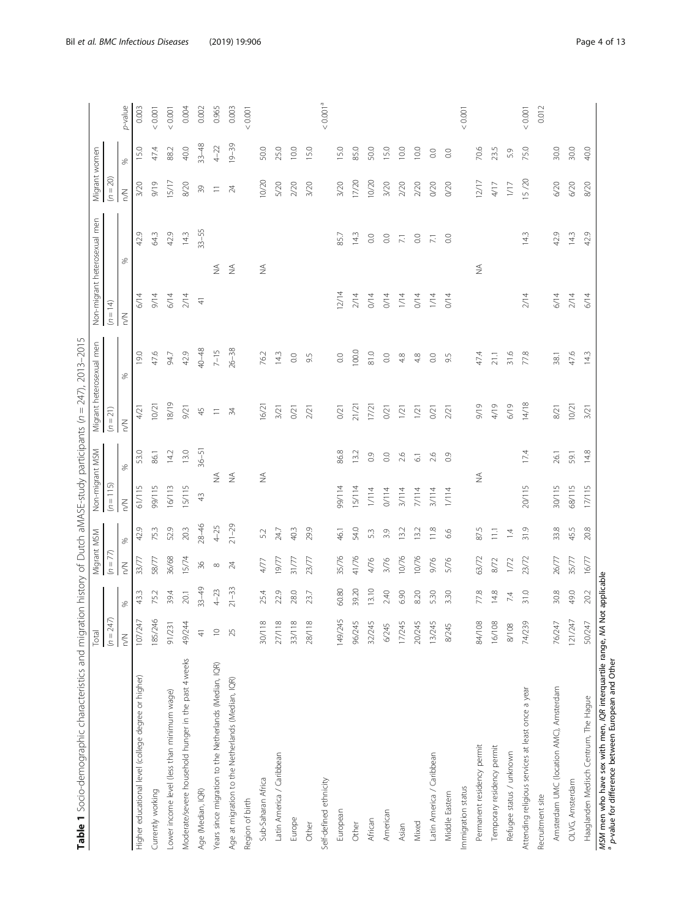<span id="page-3-0"></span>

| Table 1 Socio-demographic characteristics and migration history of Dutch aMASE-study participants (n = 247), 2013-2015 |               |                |                          |                 |                              |                    |               |                          |               |                              |                            |              |                      |
|------------------------------------------------------------------------------------------------------------------------|---------------|----------------|--------------------------|-----------------|------------------------------|--------------------|---------------|--------------------------|---------------|------------------------------|----------------------------|--------------|----------------------|
|                                                                                                                        | Total         |                | Migrant MSM              |                 | Non-migrant MSM              |                    |               | Migrant heterosexual men |               | Non-migrant heterosexual men | Migrant women              |              |                      |
|                                                                                                                        | $(n = 247)$   |                | $(n = 77)$               |                 | $(n = 115)$                  |                    | $(n = 21)$    |                          | $(n = 14)$    |                              | $(n = 20)$                 |              |                      |
|                                                                                                                        | $\lesssim$    | S,             | $\leq$                   | $\%$            | $\lesssim$                   | ℅                  | $\leq$        | ℅                        | $\lesssim$    | ℅                            | $\lesssim$                 | S6           | p-value              |
| Higher educational level (college degree or higher)                                                                    | 107/247       | 43.3           | 33/77                    | 42.9            | 61/115                       | 53.0               | 4/21          | 19.0                     | 6/14          | 42.9                         | 3/20                       | 15.0         | 0.003                |
| Currently working                                                                                                      | 185/246       | 75.2           | 58/77                    | 75.3            | 99/115                       | 86.1               | 10/21         | 47.6                     | 9/14          | 64.3                         | 9/19                       | 47,4         | < 0.001              |
| Lower income level (less than minimum wage)                                                                            | 91/231        | 39.4           | 36/68                    | 52.9            | 16/113                       | 14.2               | 18/19         | 94.7                     | 6/14          | 42.9                         | 15/17                      | 88.2         | 10000                |
| Moderate/severe household hunger in the past 4 weeks                                                                   | 49/244        | 20.1           | 15/74                    | 20.3            | 15/115                       | 13.0               | 9/21          | 42.9                     | 2/14          | 14.3                         | 8/20                       | 40.0         | 0.004                |
| Age (Median, IQR)                                                                                                      | $\frac{4}{3}$ | $33 - 49$      | $\frac{36}{5}$           | $28 - 46$       | 43                           | $36 - 51$          | $45$          | 40-48                    | $\frac{4}{3}$ | $33 - 55$                    | $\mathcal{S}^{\mathbb{C}}$ | $33 - 48$    | 0.002                |
| Years since migration to the Netherlands (Median, IQR)                                                                 | $\supseteq$   | $4 - 23$       | $\infty$                 | $4 - 25$        | $\stackrel{\triangle}{\geq}$ |                    | $\equiv$      | $7 - 15$                 |               | $\lessapprox$                | $\equiv$                   | $4 - 22$     | 0.965                |
| Age at migration to the Netherlands (Median, IQR)                                                                      | 25            | $21 - 33$      | $\overline{\mathcal{A}}$ | $21 - 29$       | $\lessapprox$                |                    | $\frac{1}{2}$ | $26 - 38$                |               | $\lessgtr$                   | $\overline{24}$            | $19 - 39$    | 0.003                |
| Region of birth                                                                                                        |               |                |                          |                 |                              |                    |               |                          |               |                              |                            |              | < 0.001              |
| Sub-Saharan Africa                                                                                                     | 30/118        | 25.4           | 4/77                     | 52              | $\stackrel{\triangle}{\geq}$ |                    | 16/21         | 76.2                     |               | $\lessgtr$                   | 10/20                      | 50.0         |                      |
| Latin America / Caribbean                                                                                              | 27/118        | 22.9           | 19/77                    | 24.7            |                              |                    | 3/21          | 14.3                     |               |                              | 5/20                       | 25.0         |                      |
| Europe                                                                                                                 | 33/118        | 28.0           | 31/77                    | 40.3            |                              |                    | O(2)          | $_{\odot}$               |               |                              | $2/20$                     | 10.0         |                      |
| Other                                                                                                                  | 28/118        | 23.7           | 23/77                    | 29.9            |                              |                    | 2/21          | 9.5                      |               |                              | 3/20                       | 15.0         |                      |
| Self-defined ethnicity                                                                                                 |               |                |                          |                 |                              |                    |               |                          |               |                              |                            |              | < 0.001 <sup>a</sup> |
| European                                                                                                               | 149/245       | 60.80          | 35/76                    | 46.1            | 99/114                       | 86.8               | 0/21          | $_{\odot}$               | 12/14         | 85.7                         | 3/20                       | 15.0         |                      |
| Other                                                                                                                  | 96/245        | 39.20          | 41/76                    | 54.0            | 15/114                       | 13.2               | 21/21         | 100.0                    | 2/14          | 14.3                         | 17/20                      | 85.0         |                      |
| African                                                                                                                | 32/245        | 13.10          | 4/76                     | 53              | $1/114$                      | $\overline{0}$     | 17/21         | 81.0                     | 0/14          | $_{\odot}$                   | 10/20                      | 50.0         |                      |
| American                                                                                                               | 6/245         | 2.40           | 3/76                     | 3.9             | 0/114                        | $_{\odot}$         | O(2)          | $_{\odot}$               | O/14          | $_{\odot}$                   | 3/20                       | 15.0         |                      |
| Asian                                                                                                                  | 17/245        | 6.90           | 10/76                    | 13.2            | 3/114                        | 2.6                | 1/21          | 4.8                      | 1/14          | $\overline{\Sigma}$          | 2/20                       | 10.0         |                      |
| Mixed                                                                                                                  | 20/245        | 8.20           | 10/76                    | 13.2            | 7/114                        | $\overline{\circ}$ | 1/21          | $4.8$                    | O/14          | $_{\odot}$                   | 2/20                       | 10.0         |                      |
| Latin America / Caribbean                                                                                              | 13/245        | 5.30           | 9/76                     | 11.8            | 3/114                        | 2.6                | 0/21          | $_{\odot}$               | 1/14          | $\Xi$                        | 0/20                       | $_{\odot}$   |                      |
| Middle Eastem                                                                                                          | 8/245         | 3.30           | 5/76                     | 6.6             | $1/114$                      | $\overline{0}$     | 2/21          | 9.5                      | O/14          | $_{\odot}$                   | 0/20                       | $\rm ^{0.0}$ |                      |
| Immigration status                                                                                                     |               |                |                          |                 |                              |                    |               |                          |               |                              |                            |              | < 0.001              |
| Permanent residency permit                                                                                             | 84/108        | 77.8           | 63/72                    | 87.5            | $\lessapprox$                |                    | 61/6          | 47.4                     |               | $\lessgtr$                   | 12/17                      | 70.6         |                      |
| Temporary residency permit                                                                                             | 16/108        | 14.8           | 8/72                     | $\overline{11}$ |                              |                    | 4/19          | 21.1                     |               |                              | 4/17                       | 23.5         |                      |
| Refugee status / unknown                                                                                               | 8/108         | 74             | 1/72                     | $\overline{14}$ |                              |                    | 6/19          | 31.6                     |               |                              | $1/17$                     | 5.9          |                      |
| Attending religious services at least once a year                                                                      | 74/239        | 31.0           | 23/72                    | 31.9            | 20/115                       | 17.4               | 14/18         | 77.8                     | 2/14          | 14.3                         | 15/20                      | 75.0         | 10000                |
| Recruitment site                                                                                                       |               |                |                          |                 |                              |                    |               |                          |               |                              |                            |              | 0.012                |
| Amsterdam UMC (location AMC), Amsterdam                                                                                | 76/247        | 30.8           | 26/77                    | 33.8            | 30/115                       | 26.1               | 8/21          | 38.1                     | 6/14          | 42.9                         | 6/20                       | 30.0         |                      |
| OLVG, Amsterdam                                                                                                        | 121/247       | 49.0           | 35/77                    | 45.5            | 68/115                       | 59.1               | 10/21         | 47.6                     | 2/14          | 14.3                         | 6/20                       | 30.0         |                      |
| Haaglanden Medisch Centrum, The Hague                                                                                  | 50/247        | 20.2           | 16/77                    | 20.8            | 17/115                       | 14.8               | 3/21          | 14.3                     | 6/14          | 42.9                         | 8/20                       | 40.0         |                      |
| MSM men who have sex with men, IQR interquartile range, NA                                                             |               | Not applicable |                          |                 |                              |                    |               |                          |               |                              |                            |              |                      |

wow men wino nave sex with men, ven interparation is<br><sup>a</sup> p-value for difference between European and Other p-value for difference between European and Other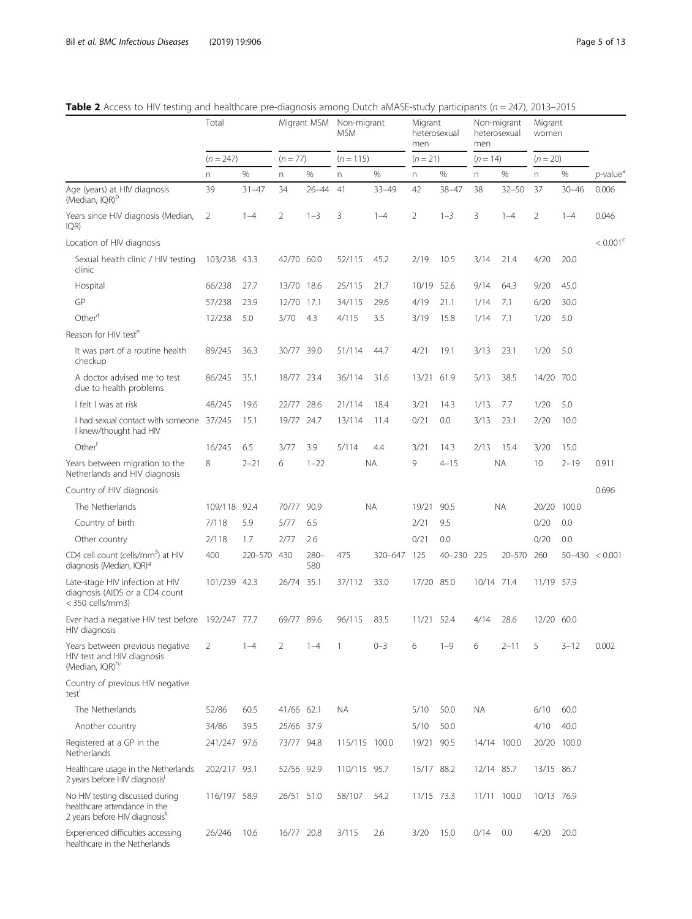|                                                                                                  | Total        |           |            | Migrant MSM    | Non-migrant<br><b>MSM</b> |           | Migrant<br>men | heterosexual | men        | Non-migrant<br>heterosexual | Migrant<br>women |             |                                             |
|--------------------------------------------------------------------------------------------------|--------------|-----------|------------|----------------|---------------------------|-----------|----------------|--------------|------------|-----------------------------|------------------|-------------|---------------------------------------------|
|                                                                                                  | $(n = 247)$  |           | $(n = 77)$ |                | $(n = 115)$               |           | $(n = 21)$     |              | $(n = 14)$ |                             | $(n = 20)$       |             |                                             |
|                                                                                                  | n            | %         | n.         | %              | n.                        | %         | n.             | %            | n.         | %                           | n.               | $\%$        | $p$ -value <sup><math>\epsilon</math></sup> |
| Age (years) at HIV diagnosis<br>(Median, IQR) <sup>b</sup>                                       | 39           | $31 - 47$ | 34         | $26 - 44$      | 41                        | $33 - 49$ | 42             | $38 - 47$    | 38         | $32 - 50$                   | 37               | $30 - 46$   | 0.006                                       |
| Years since HIV diagnosis (Median,<br>IQR)                                                       | 2            | $1 - 4$   | 2          | $1 - 3$        | 3                         | $1 - 4$   | $\overline{2}$ | $1 - 3$      | 3          | $1 - 4$                     | $\overline{2}$   | $1 - 4$     | 0.046                                       |
| Location of HIV diagnosis                                                                        |              |           |            |                |                           |           |                |              |            |                             |                  |             | $< 0.001$ <sup>c</sup>                      |
| Sexual health clinic / HIV testing<br>clinic                                                     | 103/238 43.3 |           | 42/70      | 60.0           | 52/115                    | 45.2      | 2/19           | 10.5         | 3/14       | 21.4                        | 4/20             | 20.0        |                                             |
| Hospital                                                                                         | 66/238       | 27.7      | 13/70      | 18.6           | 25/115                    | 21.7      | 10/19          | 52.6         | 9/14       | 64.3                        | 9/20             | 45.0        |                                             |
| GP                                                                                               | 57/238       | 23.9      | 12/70      | 17.1           | 34/115                    | 29.6      | 4/19           | 21.1         | 1/14       | 7.1                         | 6/20             | 30.0        |                                             |
| Otherd                                                                                           | 12/238       | 5.0       | 3/70       | 4.3            | 4/115                     | 3.5       | 3/19           | 15.8         | 1/14       | 7.1                         | 1/20             | 5.0         |                                             |
| Reason for HIV test <sup>e</sup>                                                                 |              |           |            |                |                           |           |                |              |            |                             |                  |             |                                             |
| It was part of a routine health<br>checkup                                                       | 89/245       | 36.3      | 30/77 39.0 |                | 51/114                    | 44.7      | 4/21           | 19.1         | 3/13       | 23.1                        | 1/20             | 5.0         |                                             |
| A doctor advised me to test<br>due to health problems                                            | 86/245       | 35.1      | 18/77 23.4 |                | 36/114                    | 31.6      | 13/21          | 61.9         | 5/13       | 38.5                        | 14/20            | 70.0        |                                             |
| I felt I was at risk                                                                             | 48/245       | 19.6      | 22/77      | 28.6           | 21/114                    | 18.4      | 3/21           | 14.3         | 1/13       | 7.7                         | 1/20             | 5.0         |                                             |
| I had sexual contact with someone<br>I knew/thought had HIV                                      | 37/245       | 15.1      | 19/77 24.7 |                | 13/114                    | 11.4      | 0/21           | 0.0          | 3/13       | 23.1                        | 2/20             | 10.0        |                                             |
| Other <sup>t</sup>                                                                               | 16/245       | 6.5       | 3/77       | 3.9            | 5/114                     | 4.4       | 3/21           | 14.3         | 2/13       | 15.4                        | 3/20             | 15.0        |                                             |
| Years between migration to the<br>Netherlands and HIV diagnosis                                  | 8            | $2 - 21$  | 6          | $1 - 22$       |                           | <b>NA</b> | 9              | $4 - 15$     |            | <b>NA</b>                   | 10               | $2 - 19$    | 0.911                                       |
| Country of HIV diagnosis                                                                         |              |           |            |                |                           |           |                |              |            |                             |                  |             | 0.696                                       |
| The Netherlands                                                                                  | 109/118 92.4 |           | 70/77      | 90.9           |                           | <b>NA</b> | 19/21          | 90.5         |            | <b>NA</b>                   | 20/20            | 100.0       |                                             |
| Country of birth                                                                                 | 7/118        | 5.9       | 5/77       | 6.5            |                           |           | 2/21           | 9.5          |            |                             | 0/20             | 0.0         |                                             |
| Other country                                                                                    | 2/118        | 1.7       | 2/77       | 2.6            |                           |           | 0/21           | 0.0          |            |                             | 0/20             | 0.0         |                                             |
| CD4 cell count (cells/mm <sup>3</sup> ) at HIV<br>diagnosis (Median, IQR) <sup>9</sup>           | 400          | 220-570   | 430        | $280 -$<br>580 | 475                       | 320-647   | 125            | 40-230 225   |            | $20 - 570$                  | 260              |             | $50 - 430 < 0.001$                          |
| Late-stage HIV infection at HIV<br>diagnosis (AIDS or a CD4 count<br>< 350 cells/mm3)            | 101/239 42.3 |           | 26/74 35.1 |                | 37/112                    | 33.0      | 17/20 85.0     |              | 10/14 71.4 |                             | 11/19 57.9       |             |                                             |
| Ever had a negative HIV test before 192/247 77.7<br>HIV diagnosis                                |              |           | 69/77 89.6 |                | 96/115                    | 83.5      | 11/21          | 52.4         | 4/14       | 28.6                        | 12/20 60.0       |             |                                             |
| Years between previous negative<br>HIV test and HIV diagnosis<br>(Median, IQR)h,i                | 2            | $1 - 4$   | 2          | $1 - 4$        |                           | $0 - 3$   | 6              | $1 - 9$      | 6          | $2 - 11$                    | 5                | $3 - 12$    | 0.002                                       |
| Country of previous HIV negative<br>test                                                         |              |           |            |                |                           |           |                |              |            |                             |                  |             |                                             |
| The Netherlands                                                                                  | 52/86        | 60.5      | 41/66 62.1 |                | <b>NA</b>                 |           | 5/10           | 50.0         | <b>NA</b>  |                             | 6/10             | 60.0        |                                             |
| Another country                                                                                  | 34/86        | 39.5      | 25/66 37.9 |                |                           |           | 5/10           | 50.0         |            |                             | 4/10             | 40.0        |                                             |
| Registered at a GP in the<br>Netherlands                                                         | 241/247 97.6 |           | 73/77 94.8 |                | 115/115 100.0             |           | 19/21 90.5     |              |            | 14/14 100.0                 |                  | 20/20 100.0 |                                             |
| Healthcare usage in the Netherlands<br>2 years before HIV diagnosis                              | 202/217 93.1 |           | 52/56 92.9 |                | 110/115 95.7              |           | 15/17 88.2     |              | 12/14 85.7 |                             | 13/15 86.7       |             |                                             |
| No HIV testing discussed during<br>healthcare attendance in the<br>2 years before HIV diagnosisk | 116/197 58.9 |           | 26/51 51.0 |                | 58/107                    | 54.2      | 11/15 73.3     |              |            | 11/11 100.0                 | 10/13 76.9       |             |                                             |
| Experienced difficulties accessing<br>healthcare in the Netherlands                              | 26/246       | 10.6      | 16/77 20.8 |                | 3/115                     | 2.6       | 3/20           | 15.0         | 0/14       | 0.0                         | 4/20             | 20.0        |                                             |

<span id="page-4-0"></span>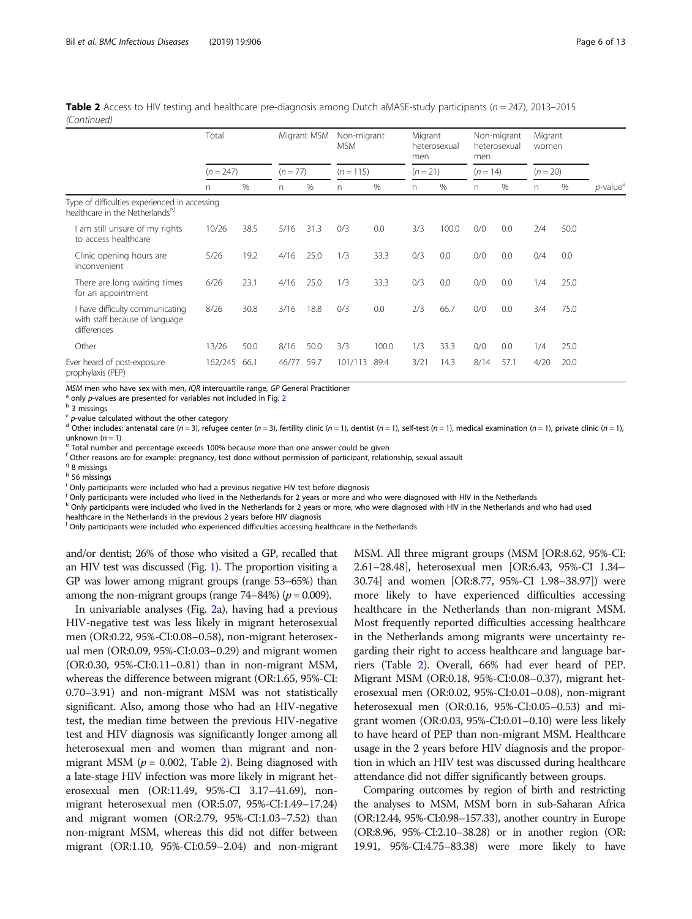|                                                                                               | Total       |      |              | Migrant MSM | Non-migrant<br><b>MSM</b> |       | Migrant<br>men | heterosexual | men        | Non-migrant<br>heterosexual | Migrant<br>women |      |                         |
|-----------------------------------------------------------------------------------------------|-------------|------|--------------|-------------|---------------------------|-------|----------------|--------------|------------|-----------------------------|------------------|------|-------------------------|
|                                                                                               | $(n = 247)$ |      | $(n = 77)$   |             | $(n = 115)$               |       | $(n = 21)$     |              | $(n = 14)$ |                             | $(n = 20)$       |      |                         |
|                                                                                               | n.          | %    | $\mathsf{n}$ | $\%$        | n                         | $\%$  | n              | %            | n          | $\%$                        | n.               | %    | $p$ -value <sup>a</sup> |
| Type of difficulties experienced in accessing<br>healthcare in the Netherlands <sup>e,1</sup> |             |      |              |             |                           |       |                |              |            |                             |                  |      |                         |
| am still unsure of my rights<br>to access healthcare                                          | 10/26       | 38.5 | 5/16         | 31.3        | 0/3                       | 0.0   | 3/3            | 100.0        | 0/0        | 0.0                         | 2/4              | 50.0 |                         |
| Clinic opening hours are<br>inconvenient                                                      | 5/26        | 19.2 | 4/16         | 25.0        | 1/3                       | 33.3  | 0/3            | 0.0          | 0/0        | 0.0                         | 0/4              | 0.0  |                         |
| There are long waiting times<br>for an appointment                                            | 6/26        | 23.1 | 4/16         | 25.0        | 1/3                       | 33.3  | 0/3            | 0.0          | 0/0        | 0.0                         | 1/4              | 25.0 |                         |
| I have difficulty communicating<br>with staff because of language<br>differences              | 8/26        | 30.8 | 3/16         | 18.8        | 0/3                       | 0.0   | 2/3            | 66.7         | 0/0        | 0.0                         | 3/4              | 75.0 |                         |
| Other                                                                                         | 13/26       | 50.0 | 8/16         | 50.0        | 3/3                       | 100.0 | 1/3            | 33.3         | 0/0        | 0.0                         | 1/4              | 25.0 |                         |
| Ever heard of post-exposure<br>prophylaxis (PEP)                                              | 162/245     | 66.1 | 46/77        | 59.7        | 101/113                   | 89.4  | 3/21           | 14.3         | 8/14       | 57.1                        | 4/20             | 20.0 |                         |

**Table 2** Access to HIV testing and healthcare pre-diagnosis among Dutch aMASE-study participants ( $n = 247$ ), 2013–2015 (Continued)

MSM men who have sex with men, IQR interquartile range, GP General Practitioner  $^a$  only p-values are presented for variables not included in Fig. [2](#page-7-0)  $^b$  3 missings

<sup>c</sup> p-value calculated without the other category<br><sup>d</sup> Other includes: antenatal care (n = 3), refugee center (n = 3), fertility clinic (n = 1), dentist (n = 1), self-test (n = 1), medical examination (n = 1), private clin

<sup>2</sup> Total number and percentage exceeds 100% because more than one answer could be given

 $f$  Other reasons are for example: pregnancy, test done without permission of participant, relationship, sexual assault

<sup>9</sup> 8 missings

<sup>h</sup> 56 missings

<sup>i</sup> Only participants were included who had a previous negative HIV test before diagnosis

j Only participants were included who lived in the Netherlands for 2 years or more and who were diagnosed with HIV in the Netherlands

<sup>k</sup> Only participants were included who lived in the Netherlands for 2 years or more, who were diagnosed with HIV in the Netherlands and who had used healthcare in the Netherlands in the previous 2 years before HIV diagnosis

<sup>l</sup> Only participants were included who experienced difficulties accessing healthcare in the Netherlands

and/or dentist; 26% of those who visited a GP, recalled that an HIV test was discussed (Fig. [1](#page-6-0)). The proportion visiting a GP was lower among migrant groups (range 53–65%) than among the non-migrant groups (range  $74-84%$ ) ( $p = 0.009$ ).

In univariable analyses (Fig. [2a](#page-7-0)), having had a previous HIV-negative test was less likely in migrant heterosexual men (OR:0.22, 95%-CI:0.08–0.58), non-migrant heterosexual men (OR:0.09, 95%-CI:0.03–0.29) and migrant women (OR:0.30, 95%-CI:0.11–0.81) than in non-migrant MSM, whereas the difference between migrant (OR:1.65, 95%-CI: 0.70–3.91) and non-migrant MSM was not statistically significant. Also, among those who had an HIV-negative test, the median time between the previous HIV-negative test and HIV diagnosis was significantly longer among all heterosexual men and women than migrant and nonmigrant MSM ( $p = 0.002$ , Table [2\)](#page-4-0). Being diagnosed with a late-stage HIV infection was more likely in migrant heterosexual men (OR:11.49, 95%-CI 3.17–41.69), nonmigrant heterosexual men (OR:5.07, 95%-CI:1.49–17.24) and migrant women (OR:2.79, 95%-CI:1.03–7.52) than non-migrant MSM, whereas this did not differ between migrant (OR:1.10, 95%-CI:0.59–2.04) and non-migrant

MSM. All three migrant groups (MSM [OR:8.62, 95%-CI: 2.61–28.48], heterosexual men [OR:6.43, 95%-CI 1.34– 30.74] and women [OR:8.77, 95%-CI 1.98–38.97]) were more likely to have experienced difficulties accessing healthcare in the Netherlands than non-migrant MSM. Most frequently reported difficulties accessing healthcare in the Netherlands among migrants were uncertainty regarding their right to access healthcare and language barriers (Table [2\)](#page-4-0). Overall, 66% had ever heard of PEP. Migrant MSM (OR:0.18, 95%-CI:0.08–0.37), migrant heterosexual men (OR:0.02, 95%-CI:0.01–0.08), non-migrant heterosexual men (OR:0.16, 95%-CI:0.05–0.53) and migrant women (OR:0.03, 95%-CI:0.01–0.10) were less likely to have heard of PEP than non-migrant MSM. Healthcare usage in the 2 years before HIV diagnosis and the proportion in which an HIV test was discussed during healthcare attendance did not differ significantly between groups.

Comparing outcomes by region of birth and restricting the analyses to MSM, MSM born in sub-Saharan Africa (OR:12.44, 95%-CI:0.98–157.33), another country in Europe (OR:8.96, 95%-CI:2.10–38.28) or in another region (OR: 19.91, 95%-CI:4.75–83.38) were more likely to have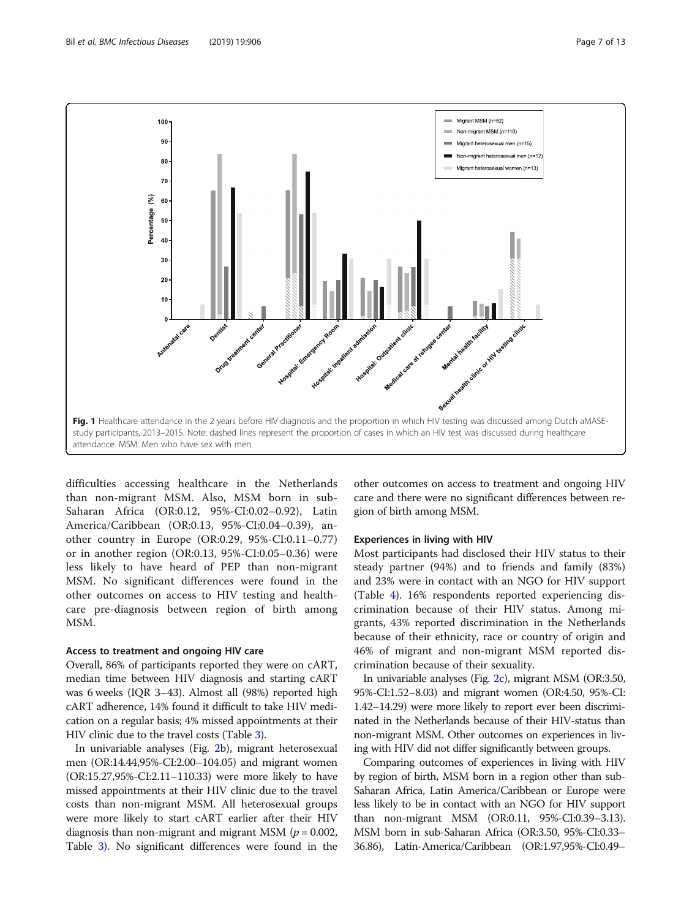<span id="page-6-0"></span>

difficulties accessing healthcare in the Netherlands than non-migrant MSM. Also, MSM born in sub-Saharan Africa (OR:0.12, 95%-CI:0.02–0.92), Latin America/Caribbean (OR:0.13, 95%-CI:0.04–0.39), another country in Europe (OR:0.29, 95%-CI:0.11–0.77) or in another region (OR:0.13, 95%-CI:0.05–0.36) were less likely to have heard of PEP than non-migrant MSM. No significant differences were found in the other outcomes on access to HIV testing and healthcare pre-diagnosis between region of birth among MSM.

# Access to treatment and ongoing HIV care

Overall, 86% of participants reported they were on cART, median time between HIV diagnosis and starting cART was 6 weeks (IQR 3–43). Almost all (98%) reported high cART adherence, 14% found it difficult to take HIV medication on a regular basis; 4% missed appointments at their HIV clinic due to the travel costs (Table [3](#page-8-0)).

In univariable analyses (Fig. [2b](#page-7-0)), migrant heterosexual men (OR:14.44,95%-CI:2.00–104.05) and migrant women (OR:15.27,95%-CI:2.11–110.33) were more likely to have missed appointments at their HIV clinic due to the travel costs than non-migrant MSM. All heterosexual groups were more likely to start cART earlier after their HIV diagnosis than non-migrant and migrant MSM ( $p = 0.002$ , Table [3](#page-8-0)). No significant differences were found in the

other outcomes on access to treatment and ongoing HIV care and there were no significant differences between region of birth among MSM.

# Experiences in living with HIV

Most participants had disclosed their HIV status to their steady partner (94%) and to friends and family (83%) and 23% were in contact with an NGO for HIV support (Table [4\)](#page-8-0). 16% respondents reported experiencing discrimination because of their HIV status. Among migrants, 43% reported discrimination in the Netherlands because of their ethnicity, race or country of origin and 46% of migrant and non-migrant MSM reported discrimination because of their sexuality.

In univariable analyses (Fig. [2c](#page-7-0)), migrant MSM (OR:3.50, 95%-CI:1.52–8.03) and migrant women (OR:4.50, 95%-CI: 1.42–14.29) were more likely to report ever been discriminated in the Netherlands because of their HIV-status than non-migrant MSM. Other outcomes on experiences in living with HIV did not differ significantly between groups.

Comparing outcomes of experiences in living with HIV by region of birth, MSM born in a region other than sub-Saharan Africa, Latin America/Caribbean or Europe were less likely to be in contact with an NGO for HIV support than non-migrant MSM (OR:0.11, 95%-CI:0.39–3.13). MSM born in sub-Saharan Africa (OR:3.50, 95%-CI:0.33– 36.86), Latin-America/Caribbean (OR:1.97,95%-CI:0.49–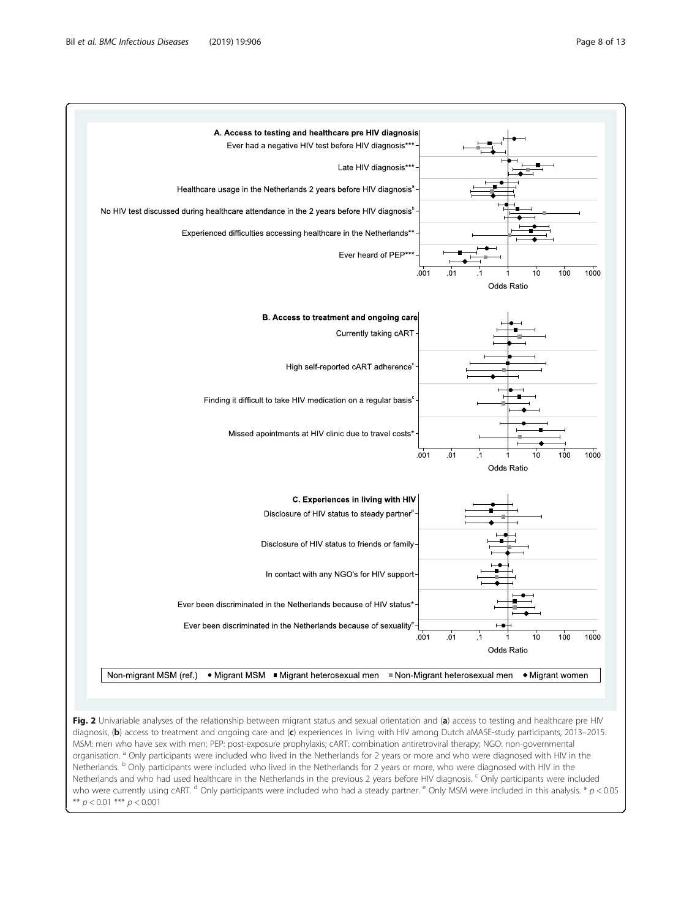<span id="page-7-0"></span>

Fig. 2 Univariable analyses of the relationship between migrant status and sexual orientation and (a) access to testing and healthcare pre HIV diagnosis, (b) access to treatment and ongoing care and (c) experiences in living with HIV among Dutch aMASE-study participants, 2013–2015. MSM: men who have sex with men; PEP: post-exposure prophylaxis; cART: combination antiretroviral therapy; NGO: non-governmental organisation. <sup>a</sup> Only participants were included who lived in the Netherlands for 2 years or more and who were diagnosed with HIV in the Netherlands. <sup>b</sup> Only participants were included who lived in the Netherlands for 2 years or more, who were diagnosed with HIV in the Netherlands and who had used healthcare in the Netherlands in the previous 2 years before HIV diagnosis. <sup>c</sup> Only participants were included who were currently using cART. <sup>d</sup> Only participants were included who had a steady partner. <sup>e</sup> Only MSM were included in this analysis. \*  $p < 0.05$ \*\*  $p < 0.01$  \*\*\*  $p < 0.001$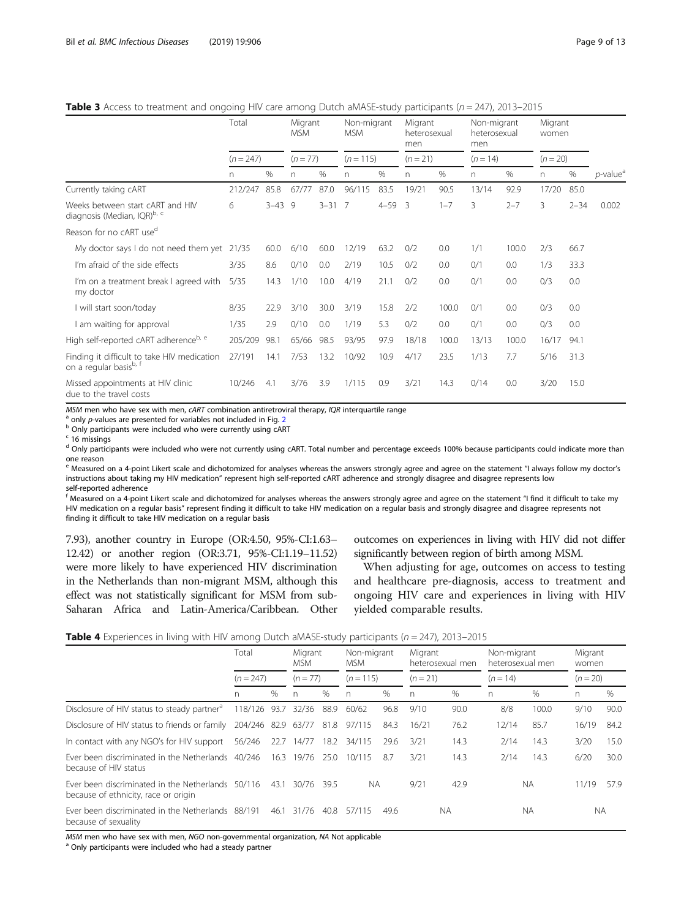<span id="page-8-0"></span>**Table 3** Access to treatment and ongoing HIV care among Dutch aMASE-study participants ( $n = 247$ ), 2013–2015

|                                                                       | Total       |            | Migrant<br><b>MSM</b> |          | Non-migrant<br><b>MSM</b> |          | Migrant<br>heterosexual<br>men |         | Non-migrant<br>heterosexual<br>men |         | Migrant<br>women |          |                         |
|-----------------------------------------------------------------------|-------------|------------|-----------------------|----------|---------------------------|----------|--------------------------------|---------|------------------------------------|---------|------------------|----------|-------------------------|
|                                                                       | $(n = 247)$ |            | $(n = 77)$            |          | $(n = 115)$               |          | $(n = 21)$                     |         | $(n = 14)$                         |         | $(n = 20)$       |          |                         |
|                                                                       | n.          | %          | $\Gamma$              | %        | n                         | $\%$     | n                              | $\%$    | n                                  | %       | n                | %        | $p$ -value <sup>a</sup> |
| Currently taking cART                                                 | 212/247     | 85.8       | 67/77                 | 87.0     | 96/115                    | 83.5     | 19/21                          | 90.5    | 13/14                              | 92.9    | 17/20            | 85.0     |                         |
| Weeks between start cART and HIV<br>diagnosis (Median, IQR)b, c       | 6           | $3 - 43$ 9 |                       | $3 - 31$ | - 7                       | $4 - 59$ | - 3                            | $1 - 7$ | 3                                  | $2 - 7$ | 3                | $2 - 34$ | 0.002                   |
| Reason for no cART use <sup>d</sup>                                   |             |            |                       |          |                           |          |                                |         |                                    |         |                  |          |                         |
| My doctor says I do not need them yet 21/35                           |             | 60.0       | 6/10                  | 60.0     | 12/19                     | 63.2     | 0/2                            | 0.0     | 1/1                                | 100.0   | 2/3              | 66.7     |                         |
| I'm afraid of the side effects                                        | 3/35        | 8.6        | 0/10                  | 0.0      | 2/19                      | 10.5     | 0/2                            | 0.0     | 0/1                                | 0.0     | 1/3              | 33.3     |                         |
| I'm on a treatment break I agreed with<br>my doctor                   | 5/35        | 14.3       | 1/10                  | 10.0     | 4/19                      | 21.1     | 0/2                            | 0.0     | 0/1                                | 0.0     | 0/3              | 0.0      |                         |
| I will start soon/today                                               | 8/35        | 22.9       | 3/10                  | 30.0     | 3/19                      | 15.8     | 2/2                            | 100.0   | 0/1                                | 0.0     | 0/3              | 0.0      |                         |
| I am waiting for approval                                             | 1/35        | 2.9        | 0/10                  | 0.0      | 1/19                      | 5.3      | 0/2                            | 0.0     | 0/1                                | 0.0     | 0/3              | 0.0      |                         |
| High self-reported cART adherenceb, e                                 | 205/209     | 98.1       | 65/66                 | 98.5     | 93/95                     | 97.9     | 18/18                          | 100.0   | 13/13                              | 100.0   | 16/17            | 94.1     |                         |
| Finding it difficult to take HIV medication<br>on a regular basisb, f | 27/191      | 14.1       | 7/53                  | 13.2     | 10/92                     | 10.9     | 4/17                           | 23.5    | 1/13                               | 7.7     | 5/16             | 31.3     |                         |
| Missed appointments at HIV clinic<br>due to the travel costs          | 10/246      | 4.1        | 3/76                  | 3.9      | 1/115                     | 0.9      | 3/21                           | 14.3    | 0/14                               | 0.0     | 3/20             | 15.0     |                         |

MSM men who have sex with men, cART combination antiretroviral therapy, IQR interquartile range  $^{\text{a}}$  only p-values are presented for variables not included in Fig. [2](#page-7-0)<br> $^{\text{b}}$  Only participants were included who were c

 $c$  16 missings

<sup>d</sup> Only participants were included who were not currently using cART. Total number and percentage exceeds 100% because participants could indicate more than one reason

e Measured on a 4-point Likert scale and dichotomized for analyses whereas the answers strongly agree and agree on the statement "I always follow my doctor's instructions about taking my HIV medication" represent high self-reported cART adherence and strongly disagree and disagree represents low self-reported adherence

<sup>f</sup> Measured on a 4-point Likert scale and dichotomized for analyses whereas the answers strongly agree and agree on the statement "I find it difficult to take my HIV medication on a regular basis" represent finding it difficult to take HIV medication on a regular basis and strongly disagree and disagree represents not finding it difficult to take HIV medication on a regular basis

7.93), another country in Europe (OR:4.50, 95%-CI:1.63– 12.42) or another region (OR:3.71, 95%-CI:1.19–11.52) were more likely to have experienced HIV discrimination in the Netherlands than non-migrant MSM, although this effect was not statistically significant for MSM from sub-Saharan Africa and Latin-America/Caribbean. Other

outcomes on experiences in living with HIV did not differ significantly between region of birth among MSM.

When adjusting for age, outcomes on access to testing and healthcare pre-diagnosis, access to treatment and ongoing HIV care and experiences in living with HIV yielded comparable results.

|  |  |  |  |  |  | Table 4 Experiences in living with HIV among Dutch aMASE-study participants (n = 247), 2013–2015 |
|--|--|--|--|--|--|--------------------------------------------------------------------------------------------------|
|--|--|--|--|--|--|--------------------------------------------------------------------------------------------------|

|                                                                                           | Total                   |      | Migrant<br>MSM. |      | Non-migrant<br><b>MSM</b> |      | Migrant  | heterosexual men | Non-migrant<br>heterosexual men |           | Migrant<br>women |      |
|-------------------------------------------------------------------------------------------|-------------------------|------|-----------------|------|---------------------------|------|----------|------------------|---------------------------------|-----------|------------------|------|
|                                                                                           | $(n = 247)$             |      | $(n = 77)$      |      | $(n = 115)$               |      | $(n=21)$ |                  | $(n = 14)$                      |           | $(n = 20)$       |      |
|                                                                                           | n                       | $\%$ | n               | $\%$ | n                         | $\%$ | n        | $\%$             | n                               | $\%$      | n                | $\%$ |
| Disclosure of HIV status to steady partner <sup>d</sup>                                   | 118/126                 | 93.7 | 32/36           | 88.9 | 60/62                     | 96.8 | 9/10     | 90.0             | 8/8                             | 100.0     | 9/10             | 90.0 |
| Disclosure of HIV status to friends or family                                             | 204/246 82.9 63/77 81.8 |      |                 |      | 97/115                    | 84.3 | 16/21    | 76.2             | 12/14                           | 85.7      | 16/19            | 84.2 |
| In contact with any NGO's for HIV support                                                 | 56/246                  |      | 22.7 14/77      | 18.2 | 34/115                    | 29.6 | 3/21     | 14.3             | 2/14                            | 14.3      | 3/20             | 15.0 |
| Ever been discriminated in the Netherlands 40/246<br>because of HIV status                |                         |      | 16.3 19/76      | 25.0 | 10/115                    | 87   | 3/21     | 14.3             | 2/14                            | 14.3      | 6/20             | 30.0 |
| Ever been discriminated in the Netherlands 50/116<br>because of ethnicity, race or origin |                         | 43.1 | 30/76           | 39.5 | NA.                       |      | 9/21     | 42.9             |                                 | <b>NA</b> | 11/19            | 57.9 |
| Ever been discriminated in the Netherlands 88/191<br>because of sexuality                 |                         | 46.1 | 31/76           | 40.8 | 57/115                    | 49.6 |          | <b>NA</b>        |                                 | ΝA        | <b>NA</b>        |      |

 $MSM$  men who have sex with men, NGO non-governmental organization, NA Not applicable a Only participants were included who had a steady partner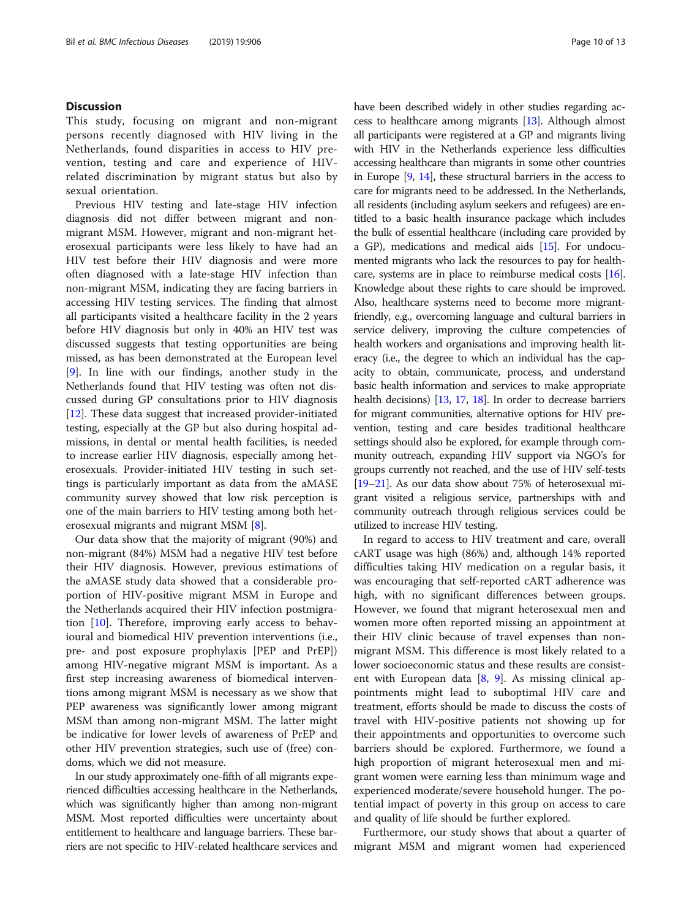# **Discussion**

This study, focusing on migrant and non-migrant persons recently diagnosed with HIV living in the Netherlands, found disparities in access to HIV prevention, testing and care and experience of HIVrelated discrimination by migrant status but also by sexual orientation.

Previous HIV testing and late-stage HIV infection diagnosis did not differ between migrant and nonmigrant MSM. However, migrant and non-migrant heterosexual participants were less likely to have had an HIV test before their HIV diagnosis and were more often diagnosed with a late-stage HIV infection than non-migrant MSM, indicating they are facing barriers in accessing HIV testing services. The finding that almost all participants visited a healthcare facility in the 2 years before HIV diagnosis but only in 40% an HIV test was discussed suggests that testing opportunities are being missed, as has been demonstrated at the European level [[9\]](#page-11-0). In line with our findings, another study in the Netherlands found that HIV testing was often not discussed during GP consultations prior to HIV diagnosis [[12\]](#page-11-0). These data suggest that increased provider-initiated testing, especially at the GP but also during hospital admissions, in dental or mental health facilities, is needed to increase earlier HIV diagnosis, especially among heterosexuals. Provider-initiated HIV testing in such settings is particularly important as data from the aMASE community survey showed that low risk perception is one of the main barriers to HIV testing among both heterosexual migrants and migrant MSM [\[8](#page-11-0)].

Our data show that the majority of migrant (90%) and non-migrant (84%) MSM had a negative HIV test before their HIV diagnosis. However, previous estimations of the aMASE study data showed that a considerable proportion of HIV-positive migrant MSM in Europe and the Netherlands acquired their HIV infection postmigration [\[10\]](#page-11-0). Therefore, improving early access to behavioural and biomedical HIV prevention interventions (i.e., pre- and post exposure prophylaxis [PEP and PrEP]) among HIV-negative migrant MSM is important. As a first step increasing awareness of biomedical interventions among migrant MSM is necessary as we show that PEP awareness was significantly lower among migrant MSM than among non-migrant MSM. The latter might be indicative for lower levels of awareness of PrEP and other HIV prevention strategies, such use of (free) condoms, which we did not measure.

In our study approximately one-fifth of all migrants experienced difficulties accessing healthcare in the Netherlands, which was significantly higher than among non-migrant MSM. Most reported difficulties were uncertainty about entitlement to healthcare and language barriers. These barriers are not specific to HIV-related healthcare services and have been described widely in other studies regarding access to healthcare among migrants [\[13](#page-11-0)]. Although almost all participants were registered at a GP and migrants living with HIV in the Netherlands experience less difficulties accessing healthcare than migrants in some other countries in Europe [\[9](#page-11-0), [14\]](#page-11-0), these structural barriers in the access to care for migrants need to be addressed. In the Netherlands, all residents (including asylum seekers and refugees) are entitled to a basic health insurance package which includes the bulk of essential healthcare (including care provided by a GP), medications and medical aids [\[15\]](#page-11-0). For undocumented migrants who lack the resources to pay for healthcare, systems are in place to reimburse medical costs [\[16](#page-11-0)]. Knowledge about these rights to care should be improved. Also, healthcare systems need to become more migrantfriendly, e.g., overcoming language and cultural barriers in service delivery, improving the culture competencies of health workers and organisations and improving health literacy (i.e., the degree to which an individual has the capacity to obtain, communicate, process, and understand basic health information and services to make appropriate health decisions) [\[13](#page-11-0), [17](#page-11-0), [18](#page-11-0)]. In order to decrease barriers for migrant communities, alternative options for HIV prevention, testing and care besides traditional healthcare settings should also be explored, for example through community outreach, expanding HIV support via NGO's for groups currently not reached, and the use of HIV self-tests [[19](#page-11-0)–[21](#page-11-0)]. As our data show about 75% of heterosexual migrant visited a religious service, partnerships with and community outreach through religious services could be utilized to increase HIV testing.

In regard to access to HIV treatment and care, overall cART usage was high (86%) and, although 14% reported difficulties taking HIV medication on a regular basis, it was encouraging that self-reported cART adherence was high, with no significant differences between groups. However, we found that migrant heterosexual men and women more often reported missing an appointment at their HIV clinic because of travel expenses than nonmigrant MSM. This difference is most likely related to a lower socioeconomic status and these results are consistent with European data  $[8, 9]$  $[8, 9]$  $[8, 9]$  $[8, 9]$ . As missing clinical appointments might lead to suboptimal HIV care and treatment, efforts should be made to discuss the costs of travel with HIV-positive patients not showing up for their appointments and opportunities to overcome such barriers should be explored. Furthermore, we found a high proportion of migrant heterosexual men and migrant women were earning less than minimum wage and experienced moderate/severe household hunger. The potential impact of poverty in this group on access to care and quality of life should be further explored.

Furthermore, our study shows that about a quarter of migrant MSM and migrant women had experienced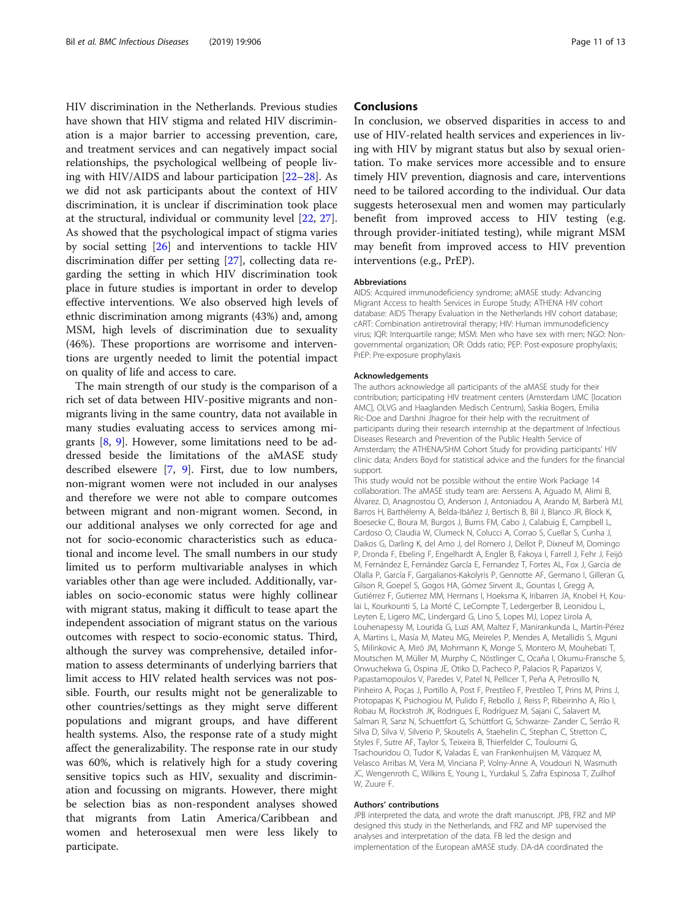HIV discrimination in the Netherlands. Previous studies have shown that HIV stigma and related HIV discrimination is a major barrier to accessing prevention, care, and treatment services and can negatively impact social relationships, the psychological wellbeing of people living with HIV/AIDS and labour participation [[22](#page-12-0)–[28](#page-12-0)]. As we did not ask participants about the context of HIV discrimination, it is unclear if discrimination took place at the structural, individual or community level [\[22,](#page-12-0) [27](#page-12-0)]. As showed that the psychological impact of stigma varies by social setting [\[26](#page-12-0)] and interventions to tackle HIV discrimination differ per setting [[27\]](#page-12-0), collecting data regarding the setting in which HIV discrimination took place in future studies is important in order to develop effective interventions. We also observed high levels of ethnic discrimination among migrants (43%) and, among MSM, high levels of discrimination due to sexuality (46%). These proportions are worrisome and interventions are urgently needed to limit the potential impact on quality of life and access to care.

The main strength of our study is the comparison of a rich set of data between HIV-positive migrants and nonmigrants living in the same country, data not available in many studies evaluating access to services among migrants [[8,](#page-11-0) [9\]](#page-11-0). However, some limitations need to be addressed beside the limitations of the aMASE study described elsewere [\[7,](#page-11-0) [9\]](#page-11-0). First, due to low numbers, non-migrant women were not included in our analyses and therefore we were not able to compare outcomes between migrant and non-migrant women. Second, in our additional analyses we only corrected for age and not for socio-economic characteristics such as educational and income level. The small numbers in our study limited us to perform multivariable analyses in which variables other than age were included. Additionally, variables on socio-economic status were highly collinear with migrant status, making it difficult to tease apart the independent association of migrant status on the various outcomes with respect to socio-economic status. Third, although the survey was comprehensive, detailed information to assess determinants of underlying barriers that limit access to HIV related health services was not possible. Fourth, our results might not be generalizable to other countries/settings as they might serve different populations and migrant groups, and have different health systems. Also, the response rate of a study might affect the generalizability. The response rate in our study was 60%, which is relatively high for a study covering sensitive topics such as HIV, sexuality and discrimination and focussing on migrants. However, there might be selection bias as non-respondent analyses showed that migrants from Latin America/Caribbean and women and heterosexual men were less likely to participate.

# **Conclusions**

In conclusion, we observed disparities in access to and use of HIV-related health services and experiences in living with HIV by migrant status but also by sexual orientation. To make services more accessible and to ensure timely HIV prevention, diagnosis and care, interventions need to be tailored according to the individual. Our data suggests heterosexual men and women may particularly benefit from improved access to HIV testing (e.g. through provider-initiated testing), while migrant MSM may benefit from improved access to HIV prevention interventions (e.g., PrEP).

### Abbreviations

AIDS: Acquired immunodeficiency syndrome; aMASE study: Advancing Migrant Access to health Services in Europe Study; ATHENA HIV cohort database: AIDS Therapy Evaluation in the Netherlands HIV cohort database; cART: Combination antiretroviral therapy; HIV: Human immunodeficiency virus; IQR: Interquartile range; MSM: Men who have sex with men; NGO: Nongovernmental organization; OR: Odds ratio; PEP: Post-exposure prophylaxis; PrEP: Pre-exposure prophylaxis

# Acknowledgements

The authors acknowledge all participants of the aMASE study for their contribution; participating HIV treatment centers (Amsterdam UMC [location AMC], OLVG and Haaglanden Medisch Centrum), Saskia Bogers, Emilia Ric-Doe and Darshni Jhagroe for their help with the recruitment of participants during their research internship at the department of Infectious Diseases Research and Prevention of the Public Health Service of Amsterdam; the ATHENA/SHM Cohort Study for providing participants' HIV clinic data; Anders Boyd for statistical advice and the funders for the financial support.

This study would not be possible without the entire Work Package 14 collaboration. The aMASE study team are: Aerssens A, Aguado M, Alimi B, Álvarez. D, Anagnostou O, Anderson J, Antoniadou A, Arando M, Barberà MJ, Barros H, Barthélemy A, Belda-Ibáñez J, Bertisch B, Bil J, Blanco JR, Block K, Boesecke C, Boura M, Burgos J, Burns FM, Cabo J, Calabuig E, Campbell L, Cardoso O, Claudia W, Clumeck N, Colucci A, Corrao S, Cuellar S, Cunha J, Daikos G, Darling K, del Amo J, del Romero J, Dellot P, Dixneuf M, Domingo P, Dronda F, Ebeling F, Engelhardt A, Engler B, Fakoya I, Farrell J, Fehr J, Feijó M, Fernández E, Fernández García E, Fernandez T, Fortes AL, Fox J, Garcia de Olalla P, García F, Gargalianos-Kakolyris P, Gennotte AF, Germano I, Gilleran G, Gilson R, Goepel S, Gogos HA, Gómez Sirvent JL, Gountas I, Gregg A, Gutiérrez F, Gutierrez MM, Hermans I, Hoeksma K, Iribarren JA, Knobel H, Koulai L, Kourkounti S, La Morté C, LeCompte T, Ledergerber B, Leonidou L, Leyten E, Ligero MC, Lindergard G, Lino S, Lopes MJ, Lopez Lirola A, Louhenapessy M, Lourida G, Luzi AM, Maltez F, Manirankunda L, Martín-Pérez A, Martins L, Masía M, Mateu MG, Meireles P, Mendes A, Metallidis S, Mguni S, Milinkovic A, Miró JM, Mohrmann K, Monge S, Montero M, Mouhebati T, Moutschen M, Müller M, Murphy C, Nöstlinger C, Ocaña I, Okumu-Fransche S, Onwuchekwa G, Ospina JE, Otiko D, Pacheco P, Palacios R, Paparizos V, Papastamopoulos V, Paredes V, Patel N, Pellicer T, Peña A, Petrosillo N, Pinheiro A, Poças J, Portillo A, Post F, Prestileo F, Prestileo T, Prins M, Prins J, Protopapas K, Psichogiou M, Pulido F, Rebollo J, Reiss P, Ribeirinho A, Río I, Robau M, Rockstroh JK, Rodrigues E, Rodríguez M, Sajani C, Salavert M, Salman R, Sanz N, Schuettfort G, Schüttfort G, Schwarze- Zander C, Serrão R, Silva D, Silva V, Silverio P, Skoutelis A, Staehelin C, Stephan C, Stretton C, Styles F, Sutre AF, Taylor S, Teixeira B, Thierfelder C, Touloumi G, Tsachouridou O, Tudor K, Valadas E, van Frankenhuijsen M, Vázquez M, Velasco Arribas M, Vera M, Vinciana P, Volny-Anne A, Voudouri N, Wasmuth JC, Wengenroth C, Wilkins E, Young L, Yurdakul S, Zafra Espinosa T, Zuilhof W, Zuure F.

#### Authors' contributions

JPB interpreted the data, and wrote the draft manuscript. JPB, FRZ and MP designed this study in the Netherlands, and FRZ and MP supervised the analyses and interpretation of the data. FB led the design and implementation of the European aMASE study. DA-dA coordinated the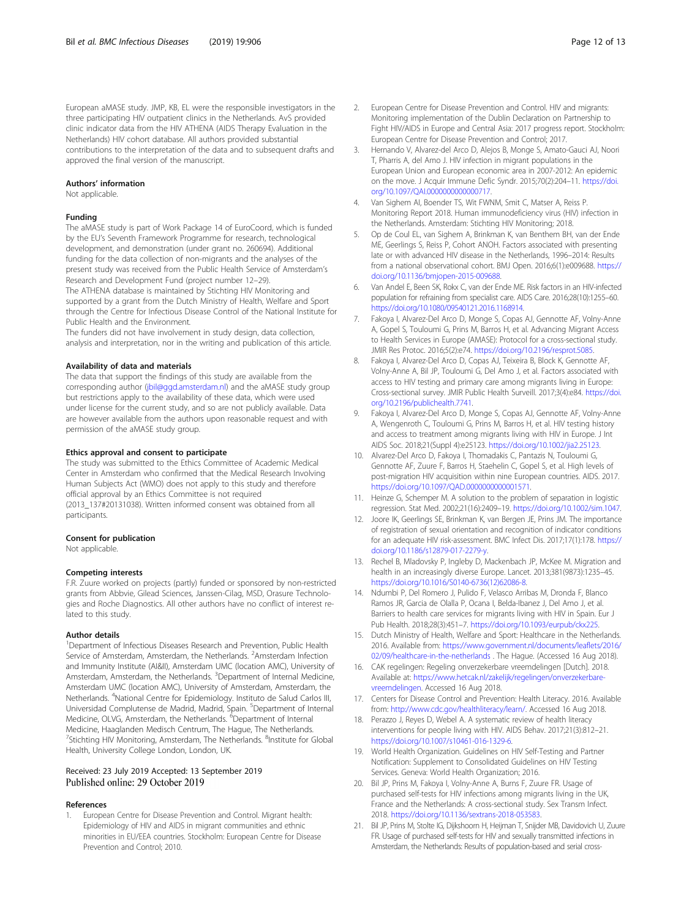<span id="page-11-0"></span>European aMASE study. JMP, KB, EL were the responsible investigators in the three participating HIV outpatient clinics in the Netherlands. AvS provided clinic indicator data from the HIV ATHENA (AIDS Therapy Evaluation in the Netherlands) HIV cohort database. All authors provided substantial contributions to the interpretation of the data and to subsequent drafts and approved the final version of the manuscript.

# Authors' information

Not applicable.

#### Funding

The aMASE study is part of Work Package 14 of EuroCoord, which is funded by the EU's Seventh Framework Programme for research, technological development, and demonstration (under grant no. 260694). Additional funding for the data collection of non-migrants and the analyses of the present study was received from the Public Health Service of Amsterdam's Research and Development Fund (project number 12–29).

The ATHENA database is maintained by Stichting HIV Monitoring and supported by a grant from the Dutch Ministry of Health, Welfare and Sport through the Centre for Infectious Disease Control of the National Institute for Public Health and the Environment.

The funders did not have involvement in study design, data collection, analysis and interpretation, nor in the writing and publication of this article.

#### Availability of data and materials

The data that support the findings of this study are available from the corresponding author ([jbil@ggd.amsterdam.nl\)](mailto:jbil@ggd.amsterdam.nl) and the aMASE study group but restrictions apply to the availability of these data, which were used under license for the current study, and so are not publicly available. Data are however available from the authors upon reasonable request and with permission of the aMASE study group.

#### Ethics approval and consent to participate

The study was submitted to the Ethics Committee of Academic Medical Center in Amsterdam who confirmed that the Medical Research Involving Human Subjects Act (WMO) does not apply to this study and therefore official approval by an Ethics Committee is not required (2013\_137#20131038). Written informed consent was obtained from all participants.

#### Consent for publication

Not applicable.

#### Competing interests

F.R. Zuure worked on projects (partly) funded or sponsored by non-restricted grants from Abbvie, Gilead Sciences, Janssen-Cilag, MSD, Orasure Technologies and Roche Diagnostics. All other authors have no conflict of interest related to this study.

#### Author details

<sup>1</sup>Department of Infectious Diseases Research and Prevention, Public Health Service of Amsterdam, Amsterdam, the Netherlands. <sup>2</sup>Amsterdam Infection and Immunity Institute (AI&II), Amsterdam UMC (location AMC), University of Amsterdam, Amsterdam, the Netherlands. <sup>3</sup>Department of Internal Medicine, Amsterdam UMC (location AMC), University of Amsterdam, Amsterdam, the Netherlands. <sup>4</sup>National Centre for Epidemiology. Instituto de Salud Carlos III, Universidad Complutense de Madrid, Madrid, Spain. <sup>5</sup>Department of Internal Medicine, OLVG, Amsterdam, the Netherlands. <sup>6</sup>Department of Internal Medicine, Haaglanden Medisch Centrum, The Hague, The Netherlands. <sup>7</sup>Stichting HIV Monitoring, Amsterdam, The Netherlands. <sup>8</sup>Institute for Global Health, University College London, London, UK.

# Received: 23 July 2019 Accepted: 13 September 2019 Published online: 29 October 2019

#### References

1. European Centre for Disease Prevention and Control. Migrant health: Epidemiology of HIV and AIDS in migrant communities and ethnic minorities in EU/EEA countries. Stockholm: European Centre for Disease Prevention and Control; 2010.

- 2. European Centre for Disease Prevention and Control. HIV and migrants: Monitoring implementation of the Dublin Declaration on Partnership to Fight HIV/AIDS in Europe and Central Asia: 2017 progress report. Stockholm: European Centre for Disease Prevention and Control; 2017.
- 3. Hernando V, Alvarez-del Arco D, Alejos B, Monge S, Amato-Gauci AJ, Noori T, Pharris A, del Amo J. HIV infection in migrant populations in the European Union and European economic area in 2007-2012: An epidemic on the move. J Acquir Immune Defic Syndr. 2015;70(2):204–11. [https://doi.](https://doi.org/10.1097/QAI.0000000000000717) [org/10.1097/QAI.0000000000000717](https://doi.org/10.1097/QAI.0000000000000717).
- 4. Van Sighem AI, Boender TS, Wit FWNM, Smit C, Matser A, Reiss P. Monitoring Report 2018. Human immunodeficiency virus (HIV) infection in the Netherlands. Amsterdam: Stichting HIV Monitoring; 2018.
- 5. Op de Coul EL, van Sighem A, Brinkman K, van Benthem BH, van der Ende ME, Geerlings S, Reiss P, Cohort ANOH. Factors associated with presenting late or with advanced HIV disease in the Netherlands, 1996–2014: Results from a national observational cohort. BMJ Open. 2016;6(1):e009688. [https://](https://doi.org/10.1136/bmjopen-2015-009688) [doi.org/10.1136/bmjopen-2015-009688.](https://doi.org/10.1136/bmjopen-2015-009688)
- Van Andel E, Been SK, Rokx C, van der Ende ME. Risk factors in an HIV-infected population for refraining from specialist care. AIDS Care. 2016;28(10):1255–60. <https://doi.org/10.1080/09540121.2016.1168914>.
- Fakoya I, Alvarez-Del Arco D, Monge S, Copas AJ, Gennotte AF, Volny-Anne A, Gopel S, Touloumi G, Prins M, Barros H, et al. Advancing Migrant Access to Health Services in Europe (AMASE): Protocol for a cross-sectional study. JMIR Res Protoc. 2016;5(2):e74. <https://doi.org/10.2196/resprot.5085>.
- Fakoya I, Alvarez-Del Arco D, Copas AJ, Teixeira B, Block K, Gennotte AF, Volny-Anne A, Bil JP, Touloumi G, Del Amo J, et al. Factors associated with access to HIV testing and primary care among migrants living in Europe: Cross-sectional survey. JMIR Public Health Surveill. 2017;3(4):e84. [https://doi.](https://doi.org/10.2196/publichealth.7741) [org/10.2196/publichealth.7741](https://doi.org/10.2196/publichealth.7741).
- Fakoya I, Alvarez-Del Arco D, Monge S, Copas AJ, Gennotte AF, Volny-Anne A, Wengenroth C, Touloumi G, Prins M, Barros H, et al. HIV testing history and access to treatment among migrants living with HIV in Europe. J Int AIDS Soc. 2018;21(Suppl 4):e25123. [https://doi.org/10.1002/jia2.25123.](https://doi.org/10.1002/jia2.25123)
- 10. Alvarez-Del Arco D, Fakoya I, Thomadakis C, Pantazis N, Touloumi G, Gennotte AF, Zuure F, Barros H, Staehelin C, Gopel S, et al. High levels of post-migration HIV acquisition within nine European countries. AIDS. 2017. <https://doi.org/10.1097/QAD.0000000000001571>.
- 11. Heinze G, Schemper M. A solution to the problem of separation in logistic regression. Stat Med. 2002;21(16):2409–19. [https://doi.org/10.1002/sim.1047.](https://doi.org/10.1002/sim.1047)
- 12. Joore IK, Geerlings SE, Brinkman K, van Bergen JE, Prins JM. The importance of registration of sexual orientation and recognition of indicator conditions for an adequate HIV risk-assessment. BMC Infect Dis. 2017;17(1):178. [https://](https://doi.org/10.1186/s12879-017-2279-y) [doi.org/10.1186/s12879-017-2279-y](https://doi.org/10.1186/s12879-017-2279-y).
- 13. Rechel B, Mladovsky P, Ingleby D, Mackenbach JP, McKee M. Migration and health in an increasingly diverse Europe. Lancet. 2013;381(9873):1235–45. [https://doi.org/10.1016/S0140-6736\(12\)62086-8.](https://doi.org/10.1016/S0140-6736(12)62086-8)
- 14. Ndumbi P, Del Romero J, Pulido F, Velasco Arribas M, Dronda F, Blanco Ramos JR, Garcia de Olalla P, Ocana I, Belda-Ibanez J, Del Amo J, et al. Barriers to health care services for migrants living with HIV in Spain. Eur J Pub Health. 2018;28(3):451–7. [https://doi.org/10.1093/eurpub/ckx225.](https://doi.org/10.1093/eurpub/ckx225)
- 15. Dutch Ministry of Health, Welfare and Sport: Healthcare in the Netherlands. 2016. Available from: [https://www.government.nl/documents/leaflets/2016/](https://www.government.nl/documents/leaflets/2016/02/09/healthcare-in-the-netherlands) [02/09/healthcare-in-the-netherlands](https://www.government.nl/documents/leaflets/2016/02/09/healthcare-in-the-netherlands) . The Hague. (Accessed 16 Aug 2018).
- 16. CAK regelingen: Regeling onverzekerbare vreemdelingen [Dutch]. 2018. Available at: [https://www.hetcak.nl/zakelijk/regelingen/onverzekerbare](https://www.hetcak.nl/zakelijk/regelingen/onverzekerbare-vreemdelingen)[vreemdelingen.](https://www.hetcak.nl/zakelijk/regelingen/onverzekerbare-vreemdelingen) Accessed 16 Aug 2018.
- 17. Centers for Disease Control and Prevention: Health Literacy. 2016. Available from: <http://www.cdc.gov/healthliteracy/learn/>. Accessed 16 Aug 2018.
- 18. Perazzo J, Reyes D, Webel A. A systematic review of health literacy interventions for people living with HIV. AIDS Behav. 2017;21(3):812–21. <https://doi.org/10.1007/s10461-016-1329-6>.
- 19. World Health Organization. Guidelines on HIV Self-Testing and Partner Notification: Supplement to Consolidated Guidelines on HIV Testing Services. Geneva: World Health Organization; 2016.
- 20. Bil JP, Prins M, Fakoya I, Volny-Anne A, Burns F, Zuure FR. Usage of purchased self-tests for HIV infections among migrants living in the UK, France and the Netherlands: A cross-sectional study. Sex Transm Infect. 2018. <https://doi.org/10.1136/sextrans-2018-053583>.
- 21. Bil JP, Prins M, Stolte IG, Dijkshoorn H, Heijman T, Snijder MB, Davidovich U, Zuure FR. Usage of purchased self-tests for HIV and sexually transmitted infections in Amsterdam, the Netherlands: Results of population-based and serial cross-